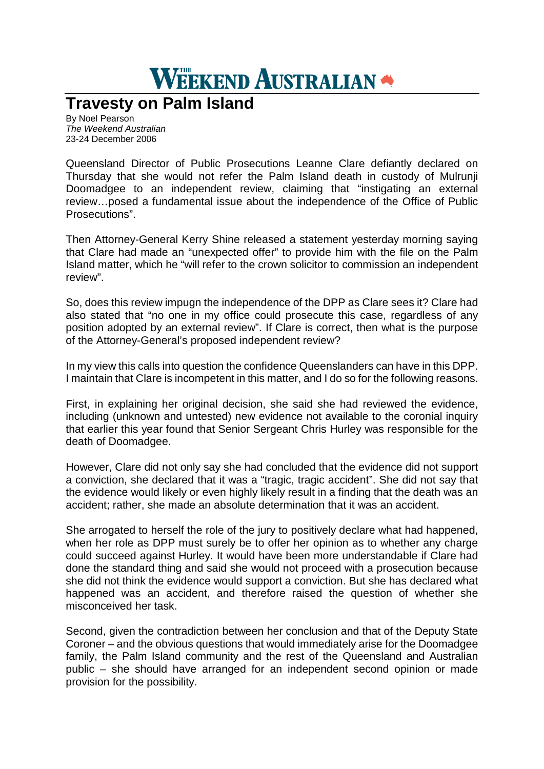## **WEEKEND AUSTRALIAN**

## **Travesty on Palm Island**

By Noel Pearson *The Weekend Australian* 23-24 December 2006

Queensland Director of Public Prosecutions Leanne Clare defiantly declared on Thursday that she would not refer the Palm Island death in custody of Mulrunji Doomadgee to an independent review, claiming that "instigating an external review…posed a fundamental issue about the independence of the Office of Public Prosecutions".

Then Attorney-General Kerry Shine released a statement yesterday morning saying that Clare had made an "unexpected offer" to provide him with the file on the Palm Island matter, which he "will refer to the crown solicitor to commission an independent review".

So, does this review impugn the independence of the DPP as Clare sees it? Clare had also stated that "no one in my office could prosecute this case, regardless of any position adopted by an external review". If Clare is correct, then what is the purpose of the Attorney-General's proposed independent review?

In my view this calls into question the confidence Queenslanders can have in this DPP. I maintain that Clare is incompetent in this matter, and I do so for the following reasons.

First, in explaining her original decision, she said she had reviewed the evidence, including (unknown and untested) new evidence not available to the coronial inquiry that earlier this year found that Senior Sergeant Chris Hurley was responsible for the death of Doomadgee.

However, Clare did not only say she had concluded that the evidence did not support a conviction, she declared that it was a "tragic, tragic accident". She did not say that the evidence would likely or even highly likely result in a finding that the death was an accident; rather, she made an absolute determination that it was an accident.

She arrogated to herself the role of the jury to positively declare what had happened, when her role as DPP must surely be to offer her opinion as to whether any charge could succeed against Hurley. It would have been more understandable if Clare had done the standard thing and said she would not proceed with a prosecution because she did not think the evidence would support a conviction. But she has declared what happened was an accident, and therefore raised the question of whether she misconceived her task.

Second, given the contradiction between her conclusion and that of the Deputy State Coroner – and the obvious questions that would immediately arise for the Doomadgee family, the Palm Island community and the rest of the Queensland and Australian public – she should have arranged for an independent second opinion or made provision for the possibility.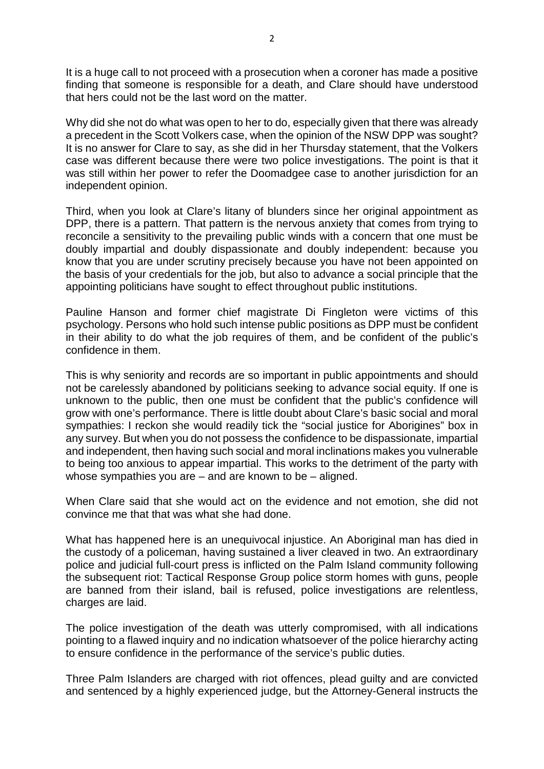It is a huge call to not proceed with a prosecution when a coroner has made a positive finding that someone is responsible for a death, and Clare should have understood that hers could not be the last word on the matter.

Why did she not do what was open to her to do, especially given that there was already a precedent in the Scott Volkers case, when the opinion of the NSW DPP was sought? It is no answer for Clare to say, as she did in her Thursday statement, that the Volkers case was different because there were two police investigations. The point is that it was still within her power to refer the Doomadgee case to another jurisdiction for an independent opinion.

Third, when you look at Clare's litany of blunders since her original appointment as DPP, there is a pattern. That pattern is the nervous anxiety that comes from trying to reconcile a sensitivity to the prevailing public winds with a concern that one must be doubly impartial and doubly dispassionate and doubly independent: because you know that you are under scrutiny precisely because you have not been appointed on the basis of your credentials for the job, but also to advance a social principle that the appointing politicians have sought to effect throughout public institutions.

Pauline Hanson and former chief magistrate Di Fingleton were victims of this psychology. Persons who hold such intense public positions as DPP must be confident in their ability to do what the job requires of them, and be confident of the public's confidence in them.

This is why seniority and records are so important in public appointments and should not be carelessly abandoned by politicians seeking to advance social equity. If one is unknown to the public, then one must be confident that the public's confidence will grow with one's performance. There is little doubt about Clare's basic social and moral sympathies: I reckon she would readily tick the "social justice for Aborigines" box in any survey. But when you do not possess the confidence to be dispassionate, impartial and independent, then having such social and moral inclinations makes you vulnerable to being too anxious to appear impartial. This works to the detriment of the party with whose sympathies you are – and are known to be – aligned.

When Clare said that she would act on the evidence and not emotion, she did not convince me that that was what she had done.

What has happened here is an unequivocal injustice. An Aboriginal man has died in the custody of a policeman, having sustained a liver cleaved in two. An extraordinary police and judicial full-court press is inflicted on the Palm Island community following the subsequent riot: Tactical Response Group police storm homes with guns, people are banned from their island, bail is refused, police investigations are relentless, charges are laid.

The police investigation of the death was utterly compromised, with all indications pointing to a flawed inquiry and no indication whatsoever of the police hierarchy acting to ensure confidence in the performance of the service's public duties.

Three Palm Islanders are charged with riot offences, plead guilty and are convicted and sentenced by a highly experienced judge, but the Attorney-General instructs the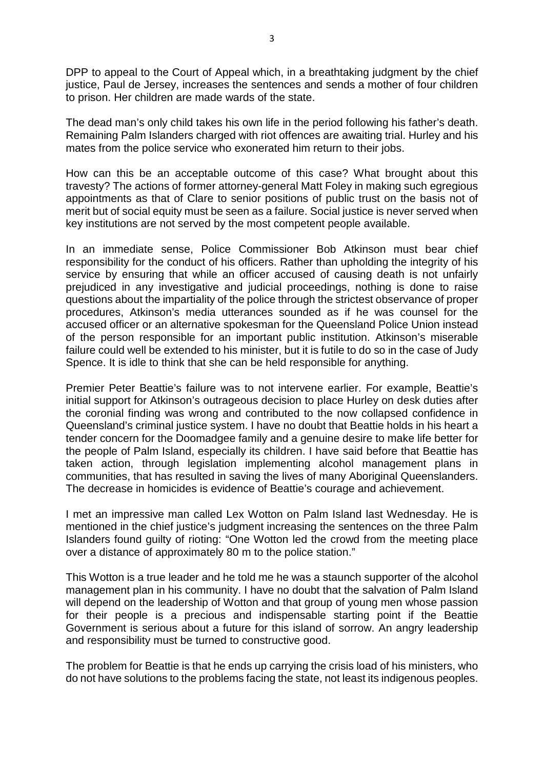DPP to appeal to the Court of Appeal which, in a breathtaking judgment by the chief justice, Paul de Jersey, increases the sentences and sends a mother of four children to prison. Her children are made wards of the state.

The dead man's only child takes his own life in the period following his father's death. Remaining Palm Islanders charged with riot offences are awaiting trial. Hurley and his mates from the police service who exonerated him return to their jobs.

How can this be an acceptable outcome of this case? What brought about this travesty? The actions of former attorney-general Matt Foley in making such egregious appointments as that of Clare to senior positions of public trust on the basis not of merit but of social equity must be seen as a failure. Social justice is never served when key institutions are not served by the most competent people available.

In an immediate sense, Police Commissioner Bob Atkinson must bear chief responsibility for the conduct of his officers. Rather than upholding the integrity of his service by ensuring that while an officer accused of causing death is not unfairly prejudiced in any investigative and judicial proceedings, nothing is done to raise questions about the impartiality of the police through the strictest observance of proper procedures, Atkinson's media utterances sounded as if he was counsel for the accused officer or an alternative spokesman for the Queensland Police Union instead of the person responsible for an important public institution. Atkinson's miserable failure could well be extended to his minister, but it is futile to do so in the case of Judy Spence. It is idle to think that she can be held responsible for anything.

Premier Peter Beattie's failure was to not intervene earlier. For example, Beattie's initial support for Atkinson's outrageous decision to place Hurley on desk duties after the coronial finding was wrong and contributed to the now collapsed confidence in Queensland's criminal justice system. I have no doubt that Beattie holds in his heart a tender concern for the Doomadgee family and a genuine desire to make life better for the people of Palm Island, especially its children. I have said before that Beattie has taken action, through legislation implementing alcohol management plans in communities, that has resulted in saving the lives of many Aboriginal Queenslanders. The decrease in homicides is evidence of Beattie's courage and achievement.

I met an impressive man called Lex Wotton on Palm Island last Wednesday. He is mentioned in the chief justice's judgment increasing the sentences on the three Palm Islanders found guilty of rioting: "One Wotton led the crowd from the meeting place over a distance of approximately 80 m to the police station."

This Wotton is a true leader and he told me he was a staunch supporter of the alcohol management plan in his community. I have no doubt that the salvation of Palm Island will depend on the leadership of Wotton and that group of young men whose passion for their people is a precious and indispensable starting point if the Beattie Government is serious about a future for this island of sorrow. An angry leadership and responsibility must be turned to constructive good.

The problem for Beattie is that he ends up carrying the crisis load of his ministers, who do not have solutions to the problems facing the state, not least its indigenous peoples.